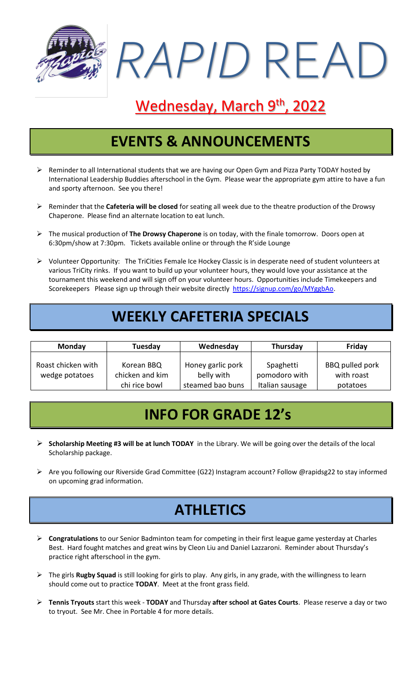

# Wednesday, March 9th, 2022

### **EVENTS & ANNOUNCEMENTS**

- Reminder to all International students that we are having our Open Gym and Pizza Party TODAY hosted by International Leadership Buddies afterschool in the Gym. Please wear the appropriate gym attire to have a fun and sporty afternoon. See you there!
- ➢ Reminder that the **Cafeteria will be closed** for seating all week due to the theatre production of the Drowsy Chaperone. Please find an alternate location to eat lunch.
- ➢ The musical production of **The Drowsy Chaperone** is on today, with the finale tomorrow. Doors open at 6:30pm/show at 7:30pm. Tickets available online or through the R'side Lounge
- ➢ Volunteer Opportunity: The TriCities Female Ice Hockey Classic is in desperate need of student volunteers at various TriCity rinks. If you want to build up your volunteer hours, they would love your assistance at the tournament this weekend and will sign off on your volunteer hours. Opportunities include Timekeepers and Scorekeepers Please sign up through their website directly [https://signup.com/go/MYggbAo.](https://signup.com/go/MYggbAo)

### **WEEKLY CAFETERIA SPECIALS**

| <b>Monday</b>                        | Tuesday                                        | Wednesday                                           | <b>Thursday</b>                               | Friday                                    |
|--------------------------------------|------------------------------------------------|-----------------------------------------------------|-----------------------------------------------|-------------------------------------------|
| Roast chicken with<br>wedge potatoes | Korean BBQ<br>chicken and kim<br>chi rice bowl | Honey garlic pork<br>belly with<br>steamed bao buns | Spaghetti<br>pomodoro with<br>Italian sausage | BBQ pulled pork<br>with roast<br>potatoes |

#### **INFO FOR GRADE 12's**

- ➢ **Scholarship Meeting #3 will be at lunch TODAY** in the Library. We will be going over the details of the local Scholarship package.
- ➢ Are you following our Riverside Grad Committee (G22) Instagram account? Follow @rapidsg22 to stay informed on upcoming grad information.

#### **ATHLETICS**

- ➢ **Congratulations** to our Senior Badminton team for competing in their first league game yesterday at Charles Best. Hard fought matches and great wins by Cleon Liu and Daniel Lazzaroni. Reminder about Thursday's practice right afterschool in the gym.
- ➢ The girls **Rugby Squad** is still looking for girls to play. Any girls, in any grade, with the willingness to learn should come out to practice **TODAY**. Meet at the front grass field.
- ➢ **Tennis Tryouts** start this week **TODAY** and Thursday **after school at Gates Courts**. Please reserve a day or two to tryout. See Mr. Chee in Portable 4 for more details.